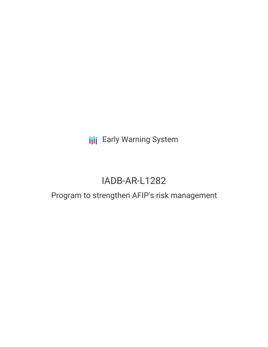## **III** Early Warning System

# IADB-AR-L1282

### Program to strengthen AFIP's risk management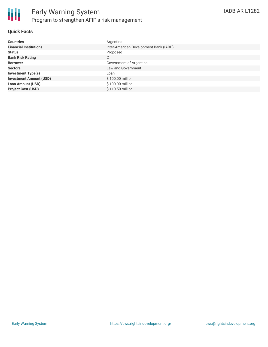

#### **Quick Facts**

| <b>Countries</b>               | Argentina                              |
|--------------------------------|----------------------------------------|
| <b>Financial Institutions</b>  | Inter-American Development Bank (IADB) |
| <b>Status</b>                  | Proposed                               |
| <b>Bank Risk Rating</b>        | C                                      |
| <b>Borrower</b>                | Government of Argentina                |
| <b>Sectors</b>                 | Law and Government                     |
| <b>Investment Type(s)</b>      | Loan                                   |
| <b>Investment Amount (USD)</b> | \$100.00 million                       |
| <b>Loan Amount (USD)</b>       | \$100.00 million                       |
| <b>Project Cost (USD)</b>      | \$110.50 million                       |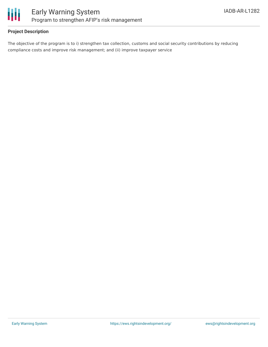

#### **Project Description**

The objective of the program is to i) strengthen tax collection, customs and social security contributions by reducing compliance costs and improve risk management; and (ii) improve taxpayer service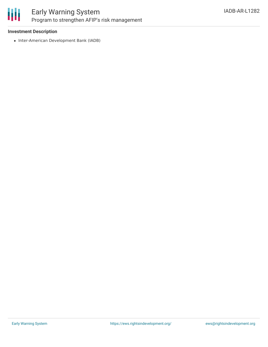

### Early Warning System Program to strengthen AFIP's risk management

#### **Investment Description**

• Inter-American Development Bank (IADB)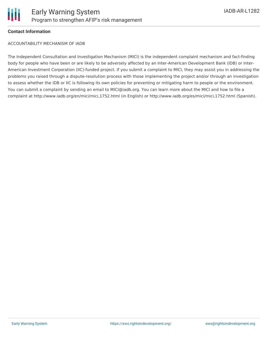

#### **Contact Information**

ACCOUNTABILITY MECHANISM OF IADB

The Independent Consultation and Investigation Mechanism (MICI) is the independent complaint mechanism and fact-finding body for people who have been or are likely to be adversely affected by an Inter-American Development Bank (IDB) or Inter-American Investment Corporation (IIC)-funded project. If you submit a complaint to MICI, they may assist you in addressing the problems you raised through a dispute-resolution process with those implementing the project and/or through an investigation to assess whether the IDB or IIC is following its own policies for preventing or mitigating harm to people or the environment. You can submit a complaint by sending an email to MICI@iadb.org. You can learn more about the MICI and how to file a complaint at http://www.iadb.org/en/mici/mici,1752.html (in English) or http://www.iadb.org/es/mici/mici,1752.html (Spanish).